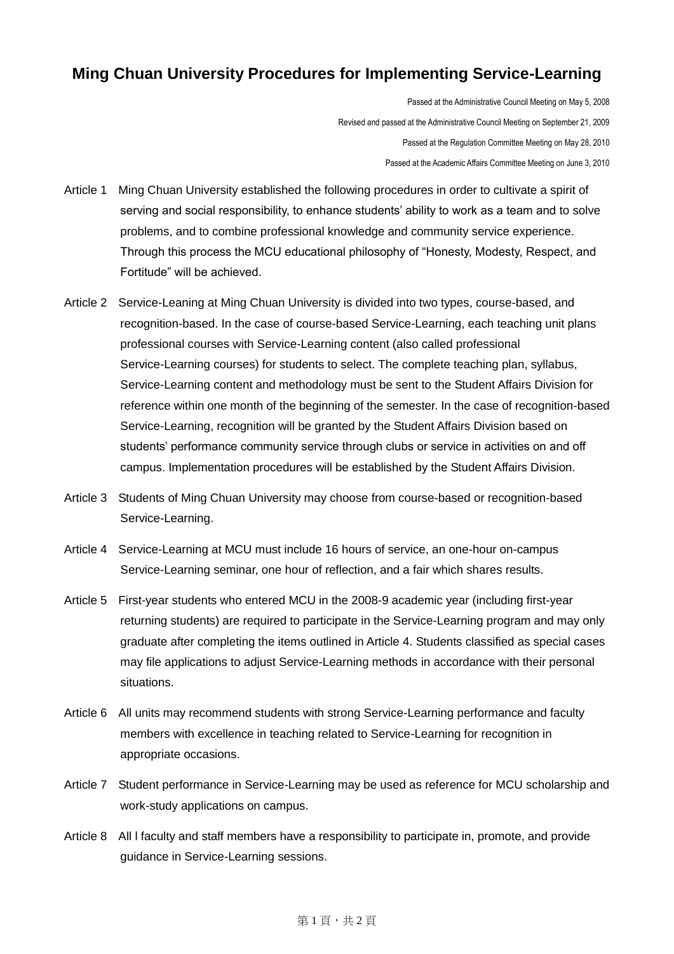## **Ming Chuan University Procedures for Implementing Service-Learning**

Passed at the Administrative Council Meeting on May 5, 2008 Revised and passed at the Administrative Council Meeting on September 21, 2009 Passed at the Regulation Committee Meeting on May 28, 2010 Passed at the Academic Affairs Committee Meeting on June 3, 2010

- Article 1 Ming Chuan University established the following procedures in order to cultivate a spirit of serving and social responsibility, to enhance students' ability to work as a team and to solve problems, and to combine professional knowledge and community service experience. Through this process the MCU educational philosophy of "Honesty, Modesty, Respect, and Fortitude" will be achieved.
- Article 2 Service-Leaning at Ming Chuan University is divided into two types, course-based, and recognition-based. In the case of course-based Service-Learning, each teaching unit plans professional courses with Service-Learning content (also called professional Service-Learning courses) for students to select. The complete teaching plan, syllabus, Service-Learning content and methodology must be sent to the Student Affairs Division for reference within one month of the beginning of the semester. In the case of recognition-based Service-Learning, recognition will be granted by the Student Affairs Division based on students' performance community service through clubs or service in activities on and off campus. Implementation procedures will be established by the Student Affairs Division.
- Article 3 Students of Ming Chuan University may choose from course-based or recognition-based Service-Learning.
- Article 4 Service-Learning at MCU must include 16 hours of service, an one-hour on-campus Service-Learning seminar, one hour of reflection, and a fair which shares results.
- Article 5 First-year students who entered MCU in the 2008-9 academic year (including first-year returning students) are required to participate in the Service-Learning program and may only graduate after completing the items outlined in Article 4. Students classified as special cases may file applications to adjust Service-Learning methods in accordance with their personal situations.
- Article 6 All units may recommend students with strong Service-Learning performance and faculty members with excellence in teaching related to Service-Learning for recognition in appropriate occasions.
- Article 7 Student performance in Service-Learning may be used as reference for MCU scholarship and work-study applications on campus.
- Article 8 All l faculty and staff members have a responsibility to participate in, promote, and provide guidance in Service-Learning sessions.

## 第1頁,共2頁